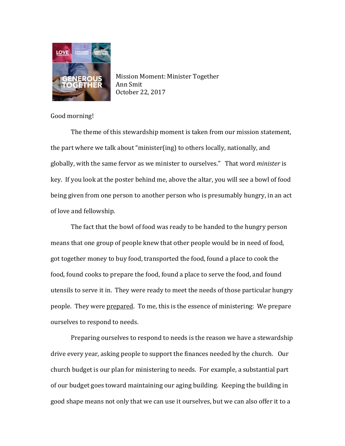

Mission Moment: Minister Together Ann Smit October 22, 2017

Good morning!

The theme of this stewardship moment is taken from our mission statement, the part where we talk about "minister(ing) to others locally, nationally, and globally, with the same fervor as we minister to ourselves." That word *minister* is key. If you look at the poster behind me, above the altar, you will see a bowl of food being given from one person to another person who is presumably hungry, in an act of love and fellowship.

The fact that the bowl of food was ready to be handed to the hungry person means that one group of people knew that other people would be in need of food, got together money to buy food, transported the food, found a place to cook the food, found cooks to prepare the food, found a place to serve the food, and found utensils to serve it in. They were ready to meet the needs of those particular hungry people. They were prepared. To me, this is the essence of ministering: We prepare ourselves to respond to needs.

Preparing ourselves to respond to needs is the reason we have a stewardship drive every year, asking people to support the finances needed by the church. Our church budget is our plan for ministering to needs. For example, a substantial part of our budget goes toward maintaining our aging building. Keeping the building in good shape means not only that we can use it ourselves, but we can also offer it to a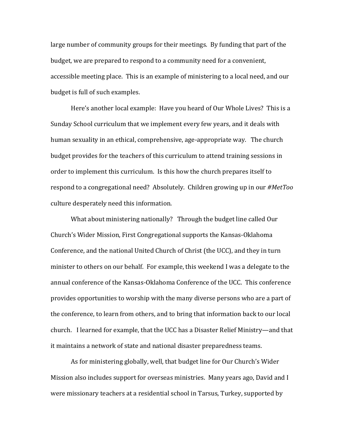large number of community groups for their meetings. By funding that part of the budget, we are prepared to respond to a community need for a convenient, accessible meeting place. This is an example of ministering to a local need, and our budget is full of such examples.

Here's another local example: Have you heard of Our Whole Lives? This is a Sunday School curriculum that we implement every few years, and it deals with human sexuality in an ethical, comprehensive, age-appropriate way. The church budget provides for the teachers of this curriculum to attend training sessions in order to implement this curriculum. Is this how the church prepares itself to respond to a congregational need? Absolutely. Children growing up in our *#MetToo* culture desperately need this information.

What about ministering nationally? Through the budget line called Our Church's Wider Mission, First Congregational supports the Kansas-Oklahoma Conference, and the national United Church of Christ (the UCC), and they in turn minister to others on our behalf. For example, this weekend I was a delegate to the annual conference of the Kansas-Oklahoma Conference of the UCC. This conference provides opportunities to worship with the many diverse persons who are a part of the conference, to learn from others, and to bring that information back to our local church. I learned for example, that the UCC has a Disaster Relief Ministry—and that it maintains a network of state and national disaster preparedness teams.

As for ministering globally, well, that budget line for Our Church's Wider Mission also includes support for overseas ministries. Many years ago, David and I were missionary teachers at a residential school in Tarsus, Turkey, supported by